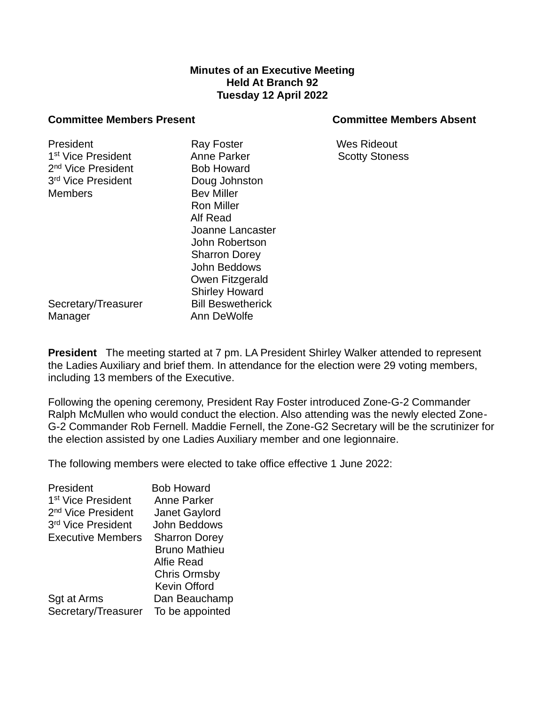## **Minutes of an Executive Meeting Held At Branch 92 Tuesday 12 April 2022**

## **Committee Members Present Committee Members Absent**

President **Ray Foster** Ray Foster Wes Rideout

Secretary/Treasurer Bill Beswetherick Manager **Ann DeWolfe** 

1<sup>st</sup> Vice President **Anne Parker Anne Parker** Scotty Stoness 2<sup>nd</sup> Vice President **Bob Howard** 3 rd Vice President Doug Johnston Members Bev Miller Ron Miller Alf Read Joanne Lancaster John Robertson Sharron Dorey John Beddows Owen Fitzgerald Shirley Howard

**President** The meeting started at 7 pm. LA President Shirley Walker attended to represent the Ladies Auxiliary and brief them. In attendance for the election were 29 voting members, including 13 members of the Executive.

Following the opening ceremony, President Ray Foster introduced Zone-G-2 Commander Ralph McMullen who would conduct the election. Also attending was the newly elected Zone-G-2 Commander Rob Fernell. Maddie Fernell, the Zone-G2 Secretary will be the scrutinizer for the election assisted by one Ladies Auxiliary member and one legionnaire.

The following members were elected to take office effective 1 June 2022:

| President                      | <b>Bob Howard</b>    |
|--------------------------------|----------------------|
| 1 <sup>st</sup> Vice President | <b>Anne Parker</b>   |
| 2 <sup>nd</sup> Vice President | Janet Gaylord        |
| 3rd Vice President             | John Beddows         |
| <b>Executive Members</b>       | <b>Sharron Dorey</b> |
|                                | <b>Bruno Mathieu</b> |
|                                | Alfie Read           |
|                                | <b>Chris Ormsby</b>  |
|                                | <b>Kevin Offord</b>  |
| Sgt at Arms                    | Dan Beauchamp        |
| Secretary/Treasurer            | To be appointed      |
|                                |                      |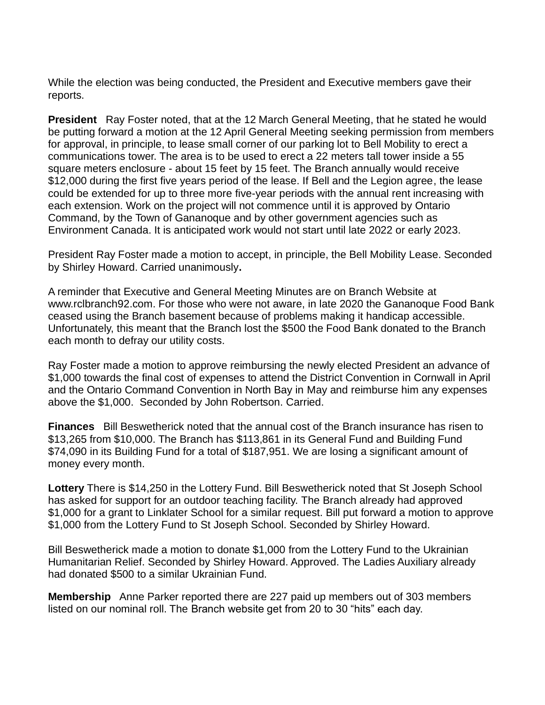While the election was being conducted, the President and Executive members gave their reports.

**President** Ray Foster noted, that at the 12 March General Meeting, that he stated he would be putting forward a motion at the 12 April General Meeting seeking permission from members for approval, in principle, to lease small corner of our parking lot to Bell Mobility to erect a communications tower. The area is to be used to erect a 22 meters tall tower inside a 55 square meters enclosure - about 15 feet by 15 feet. The Branch annually would receive \$12,000 during the first five years period of the lease. If Bell and the Legion agree, the lease could be extended for up to three more five-year periods with the annual rent increasing with each extension. Work on the project will not commence until it is approved by Ontario Command, by the Town of Gananoque and by other government agencies such as Environment Canada. It is anticipated work would not start until late 2022 or early 2023.

President Ray Foster made a motion to accept, in principle, the Bell Mobility Lease. Seconded by Shirley Howard. Carried unanimously**.**

A reminder that Executive and General Meeting Minutes are on Branch Website at www.rclbranch92.com. For those who were not aware, in late 2020 the Gananoque Food Bank ceased using the Branch basement because of problems making it handicap accessible. Unfortunately, this meant that the Branch lost the \$500 the Food Bank donated to the Branch each month to defray our utility costs.

Ray Foster made a motion to approve reimbursing the newly elected President an advance of \$1,000 towards the final cost of expenses to attend the District Convention in Cornwall in April and the Ontario Command Convention in North Bay in May and reimburse him any expenses above the \$1,000. Seconded by John Robertson. Carried.

**Finances** Bill Beswetherick noted that the annual cost of the Branch insurance has risen to \$13,265 from \$10,000. The Branch has \$113,861 in its General Fund and Building Fund \$74,090 in its Building Fund for a total of \$187,951. We are losing a significant amount of money every month.

**Lottery** There is \$14,250 in the Lottery Fund. Bill Beswetherick noted that St Joseph School has asked for support for an outdoor teaching facility. The Branch already had approved \$1,000 for a grant to Linklater School for a similar request. Bill put forward a motion to approve \$1,000 from the Lottery Fund to St Joseph School. Seconded by Shirley Howard.

Bill Beswetherick made a motion to donate \$1,000 from the Lottery Fund to the Ukrainian Humanitarian Relief. Seconded by Shirley Howard. Approved. The Ladies Auxiliary already had donated \$500 to a similar Ukrainian Fund.

**Membership** Anne Parker reported there are 227 paid up members out of 303 members listed on our nominal roll. The Branch website get from 20 to 30 "hits" each day.